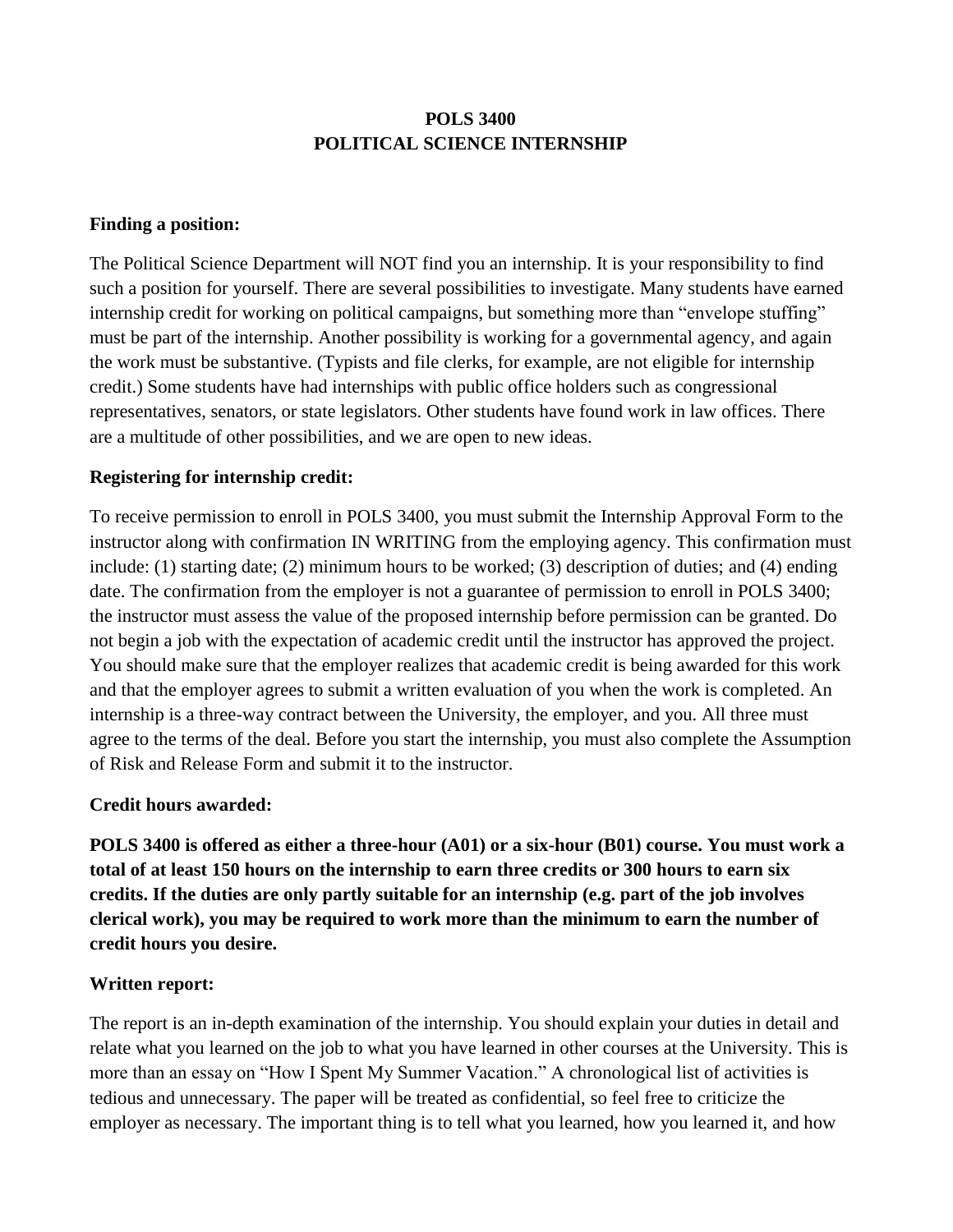# **POLS 3400 POLITICAL SCIENCE INTERNSHIP**

### **Finding a position:**

The Political Science Department will NOT find you an internship. It is your responsibility to find such a position for yourself. There are several possibilities to investigate. Many students have earned internship credit for working on political campaigns, but something more than "envelope stuffing" must be part of the internship. Another possibility is working for a governmental agency, and again the work must be substantive. (Typists and file clerks, for example, are not eligible for internship credit.) Some students have had internships with public office holders such as congressional representatives, senators, or state legislators. Other students have found work in law offices. There are a multitude of other possibilities, and we are open to new ideas.

### **Registering for internship credit:**

To receive permission to enroll in POLS 3400, you must submit the Internship Approval Form to the instructor along with confirmation IN WRITING from the employing agency. This confirmation must include: (1) starting date; (2) minimum hours to be worked; (3) description of duties; and (4) ending date. The confirmation from the employer is not a guarantee of permission to enroll in POLS 3400; the instructor must assess the value of the proposed internship before permission can be granted. Do not begin a job with the expectation of academic credit until the instructor has approved the project. You should make sure that the employer realizes that academic credit is being awarded for this work and that the employer agrees to submit a written evaluation of you when the work is completed. An internship is a three-way contract between the University, the employer, and you. All three must agree to the terms of the deal. Before you start the internship, you must also complete the Assumption of Risk and Release Form and submit it to the instructor.

### **Credit hours awarded:**

**POLS 3400 is offered as either a three-hour (A01) or a six-hour (B01) course. You must work a total of at least 150 hours on the internship to earn three credits or 300 hours to earn six credits. If the duties are only partly suitable for an internship (e.g. part of the job involves clerical work), you may be required to work more than the minimum to earn the number of credit hours you desire.**

# **Written report:**

The report is an in-depth examination of the internship. You should explain your duties in detail and relate what you learned on the job to what you have learned in other courses at the University. This is more than an essay on "How I Spent My Summer Vacation." A chronological list of activities is tedious and unnecessary. The paper will be treated as confidential, so feel free to criticize the employer as necessary. The important thing is to tell what you learned, how you learned it, and how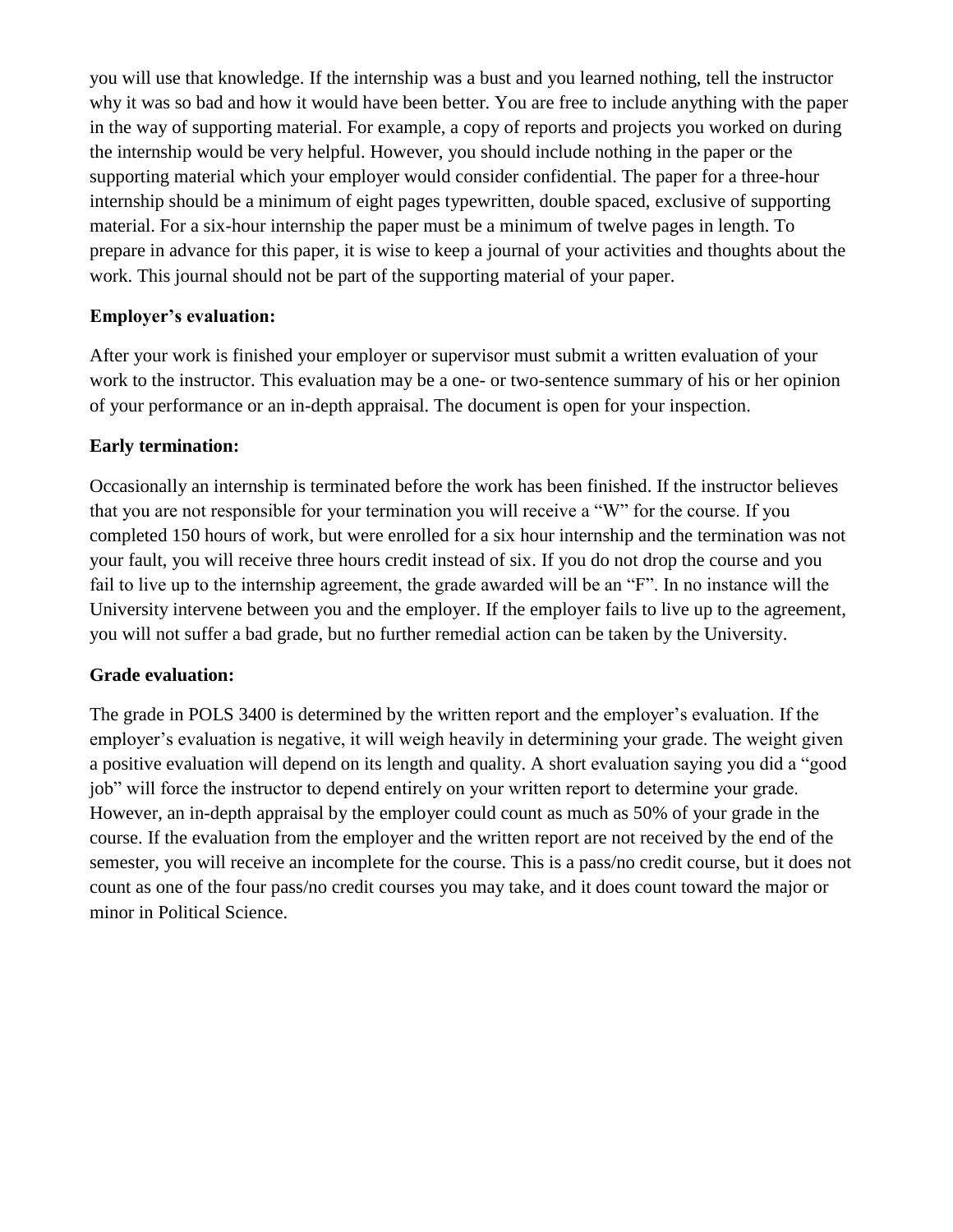you will use that knowledge. If the internship was a bust and you learned nothing, tell the instructor why it was so bad and how it would have been better. You are free to include anything with the paper in the way of supporting material. For example, a copy of reports and projects you worked on during the internship would be very helpful. However, you should include nothing in the paper or the supporting material which your employer would consider confidential. The paper for a three-hour internship should be a minimum of eight pages typewritten, double spaced, exclusive of supporting material. For a six-hour internship the paper must be a minimum of twelve pages in length. To prepare in advance for this paper, it is wise to keep a journal of your activities and thoughts about the work. This journal should not be part of the supporting material of your paper.

# **Employer's evaluation:**

After your work is finished your employer or supervisor must submit a written evaluation of your work to the instructor. This evaluation may be a one- or two-sentence summary of his or her opinion of your performance or an in-depth appraisal. The document is open for your inspection.

# **Early termination:**

Occasionally an internship is terminated before the work has been finished. If the instructor believes that you are not responsible for your termination you will receive a "W" for the course. If you completed 150 hours of work, but were enrolled for a six hour internship and the termination was not your fault, you will receive three hours credit instead of six. If you do not drop the course and you fail to live up to the internship agreement, the grade awarded will be an "F". In no instance will the University intervene between you and the employer. If the employer fails to live up to the agreement, you will not suffer a bad grade, but no further remedial action can be taken by the University.

# **Grade evaluation:**

The grade in POLS 3400 is determined by the written report and the employer's evaluation. If the employer's evaluation is negative, it will weigh heavily in determining your grade. The weight given a positive evaluation will depend on its length and quality. A short evaluation saying you did a "good job" will force the instructor to depend entirely on your written report to determine your grade. However, an in-depth appraisal by the employer could count as much as 50% of your grade in the course. If the evaluation from the employer and the written report are not received by the end of the semester, you will receive an incomplete for the course. This is a pass/no credit course, but it does not count as one of the four pass/no credit courses you may take, and it does count toward the major or minor in Political Science.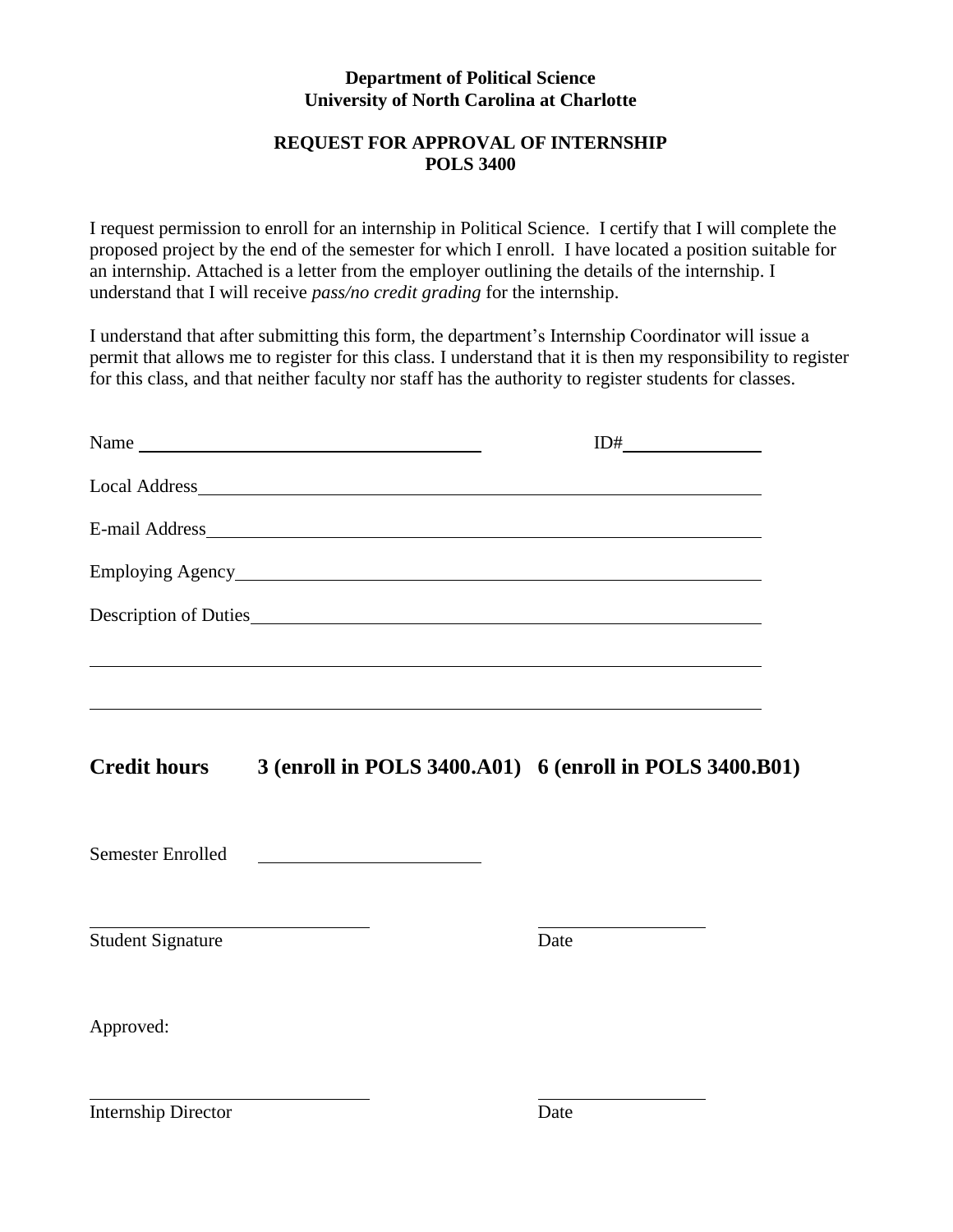### **Department of Political Science University of North Carolina at Charlotte**

# **REQUEST FOR APPROVAL OF INTERNSHIP POLS 3400**

I request permission to enroll for an internship in Political Science. I certify that I will complete the proposed project by the end of the semester for which I enroll. I have located a position suitable for an internship. Attached is a letter from the employer outlining the details of the internship. I understand that I will receive *pass/no credit grading* for the internship.

I understand that after submitting this form, the department's Internship Coordinator will issue a permit that allows me to register for this class. I understand that it is then my responsibility to register for this class, and that neither faculty nor staff has the authority to register students for classes.

|                            | Name Name                                                                        | ID#  |
|----------------------------|----------------------------------------------------------------------------------|------|
|                            |                                                                                  |      |
|                            |                                                                                  |      |
|                            |                                                                                  |      |
|                            |                                                                                  |      |
|                            | ,我们也不会有什么。""我们的人,我们也不会有什么?""我们的人,我们也不会有什么?""我们的人,我们也不会有什么?""我们的人,我们也不会有什么?""我们的人 |      |
| <b>Credit hours</b>        | 3 (enroll in POLS 3400.A01) 6 (enroll in POLS 3400.B01)                          |      |
| <b>Semester Enrolled</b>   |                                                                                  |      |
| <b>Student Signature</b>   | <u> 1989 - Johann Barn, amerikansk politiker (</u>                               | Date |
| Approved:                  |                                                                                  |      |
| <b>Internship Director</b> |                                                                                  | Date |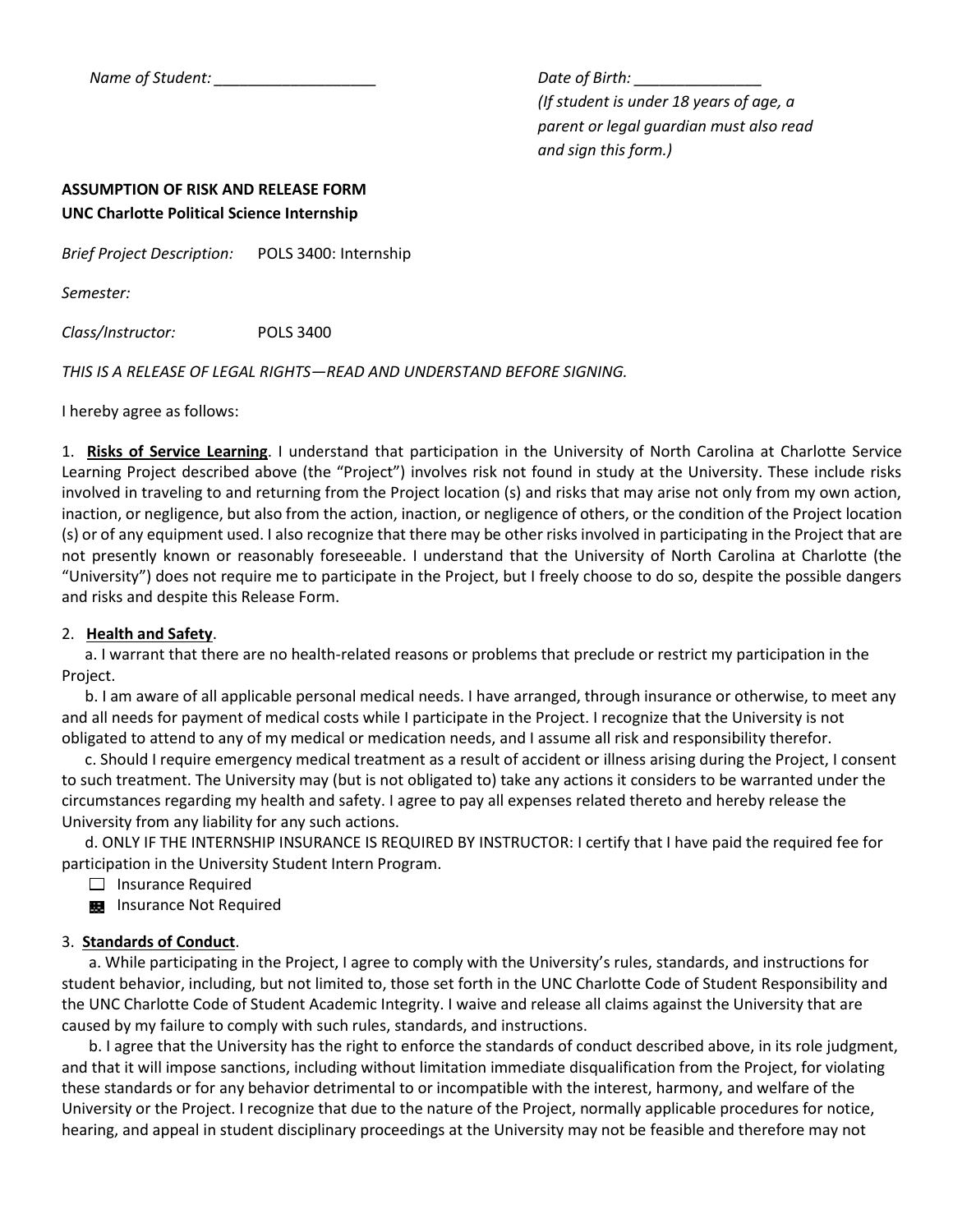*Name of Student: \_\_\_\_\_\_\_\_\_\_\_\_\_\_\_\_\_\_\_ Date of Birth: \_\_\_\_\_\_\_\_\_\_\_\_\_\_\_*

*(If student is under 18 years of age, a parent or legal guardian must also read and sign this form.)*

### **ASSUMPTION OF RISK AND RELEASE FORM UNC Charlotte Political Science Internship**

*Brief Project Description:* POLS 3400: Internship

*Semester:*

*Class/Instructor:* POLS 3400

*THIS IS A RELEASE OF LEGAL RIGHTS—READ AND UNDERSTAND BEFORE SIGNING.*

I hereby agree as follows:

1. **Risks of Service Learning**. I understand that participation in the University of North Carolina at Charlotte Service Learning Project described above (the "Project") involves risk not found in study at the University. These include risks involved in traveling to and returning from the Project location (s) and risks that may arise not only from my own action, inaction, or negligence, but also from the action, inaction, or negligence of others, or the condition of the Project location (s) or of any equipment used. I also recognize that there may be other risks involved in participating in the Project that are not presently known or reasonably foreseeable. I understand that the University of North Carolina at Charlotte (the "University") does not require me to participate in the Project, but I freely choose to do so, despite the possible dangers and risks and despite this Release Form.

### 2. **Health and Safety**.

 a. I warrant that there are no health-related reasons or problems that preclude or restrict my participation in the Project.

 b. I am aware of all applicable personal medical needs. I have arranged, through insurance or otherwise, to meet any and all needs for payment of medical costs while I participate in the Project. I recognize that the University is not obligated to attend to any of my medical or medication needs, and I assume all risk and responsibility therefor.

 c. Should I require emergency medical treatment as a result of accident or illness arising during the Project, I consent to such treatment. The University may (but is not obligated to) take any actions it considers to be warranted under the circumstances regarding my health and safety. I agree to pay all expenses related thereto and hereby release the University from any liability for any such actions.

 d. ONLY IF THE INTERNSHIP INSURANCE IS REQUIRED BY INSTRUCTOR: I certify that I have paid the required fee for participation in the University Student Intern Program.

 $\Box$  Insurance Required

**Ex** Insurance Not Required

### 3. **Standards of Conduct**.

 a. While participating in the Project, I agree to comply with the University's rules, standards, and instructions for student behavior, including, but not limited to, those set forth in the UNC Charlotte Code of Student Responsibility and the UNC Charlotte Code of Student Academic Integrity. I waive and release all claims against the University that are caused by my failure to comply with such rules, standards, and instructions.

 b. I agree that the University has the right to enforce the standards of conduct described above, in its role judgment, and that it will impose sanctions, including without limitation immediate disqualification from the Project, for violating these standards or for any behavior detrimental to or incompatible with the interest, harmony, and welfare of the University or the Project. I recognize that due to the nature of the Project, normally applicable procedures for notice, hearing, and appeal in student disciplinary proceedings at the University may not be feasible and therefore may not